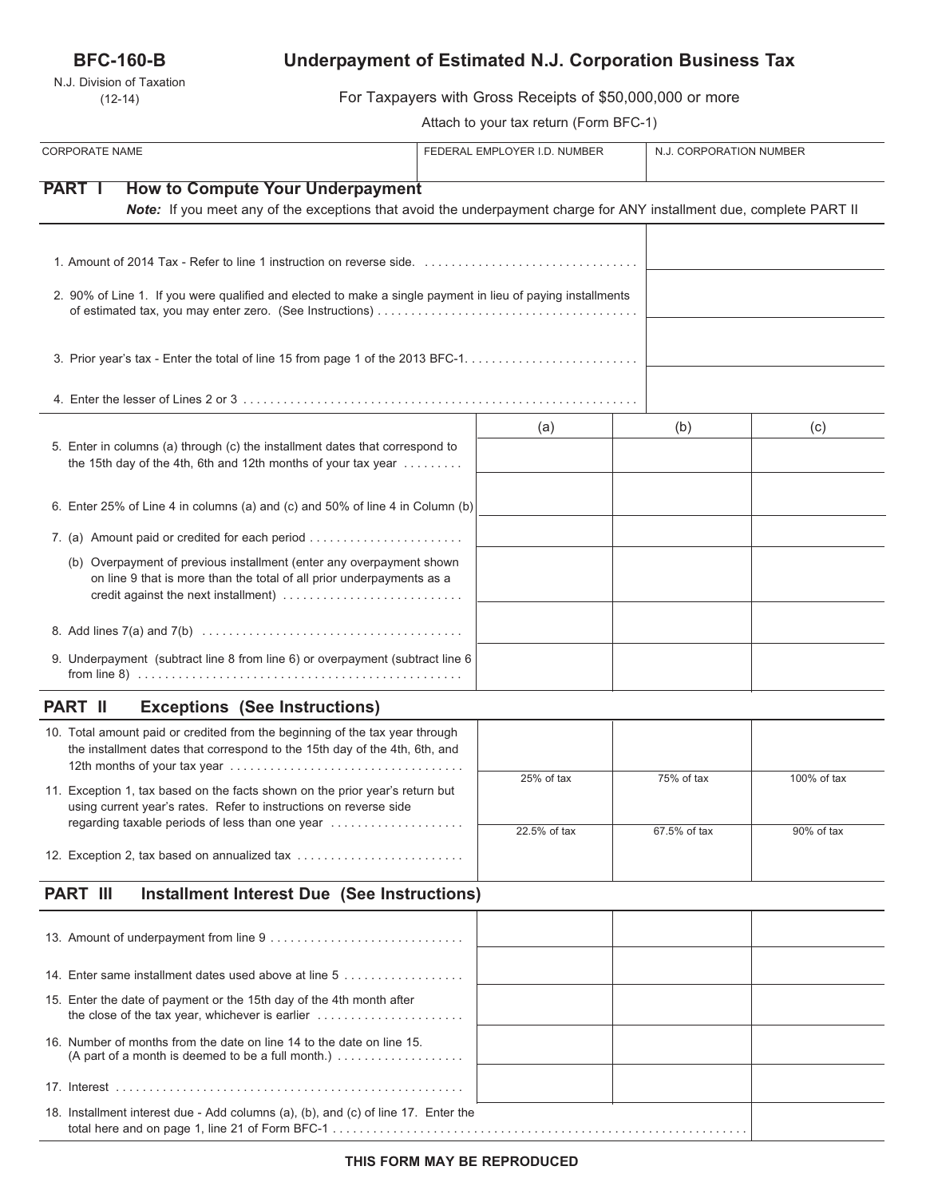# **BFC-160-B**

N.J. Division of Taxation (12-14)

# **Underpayment of Estimated N.J. Corporation Business Tax**

For Taxpayers with Gross Receipts of \$50,000,000 or more

Attach to your tax return (Form BFC-1)

| <b>CORPORATE NAME</b>                                                                                                                                                                 | FEDERAL EMPLOYER I.D. NUMBER |              | N.J. CORPORATION NUMBER |  |
|---------------------------------------------------------------------------------------------------------------------------------------------------------------------------------------|------------------------------|--------------|-------------------------|--|
| <b>PART I</b><br><b>How to Compute Your Underpayment</b><br>Note: If you meet any of the exceptions that avoid the underpayment charge for ANY installment due, complete PART II      |                              |              |                         |  |
|                                                                                                                                                                                       |                              |              |                         |  |
| 2. 90% of Line 1. If you were qualified and elected to make a single payment in lieu of paying installments                                                                           |                              |              |                         |  |
|                                                                                                                                                                                       |                              |              |                         |  |
|                                                                                                                                                                                       |                              |              |                         |  |
| 5. Enter in columns (a) through (c) the installment dates that correspond to<br>the 15th day of the 4th, 6th and 12th months of your tax year                                         | (a)                          | (b)          | (c)                     |  |
| 6. Enter 25% of Line 4 in columns (a) and (c) and 50% of line 4 in Column (b)                                                                                                         |                              |              |                         |  |
| 7. (a) Amount paid or credited for each period                                                                                                                                        |                              |              |                         |  |
| (b) Overpayment of previous installment (enter any overpayment shown<br>on line 9 that is more than the total of all prior underpayments as a<br>credit against the next installment) |                              |              |                         |  |
|                                                                                                                                                                                       |                              |              |                         |  |
| 9. Underpayment (subtract line 8 from line 6) or overpayment (subtract line 6                                                                                                         |                              |              |                         |  |
| <b>PART II</b><br><b>Exceptions (See Instructions)</b>                                                                                                                                |                              |              |                         |  |
| 10. Total amount paid or credited from the beginning of the tax year through<br>the installment dates that correspond to the 15th day of the 4th, 6th, and                            |                              |              |                         |  |
| 11. Exception 1, tax based on the facts shown on the prior year's return but<br>using current year's rates. Refer to instructions on reverse side                                     | 25% of tax                   | 75% of tax   | 100% of tax             |  |
| regarding taxable periods of less than one year                                                                                                                                       | 22.5% of tax                 | 67.5% of tax | 90% of tax              |  |
| 12. Exception 2, tax based on annualized tax                                                                                                                                          |                              |              |                         |  |
| <b>PART III</b><br><b>Installment Interest Due (See Instructions)</b>                                                                                                                 |                              |              |                         |  |
|                                                                                                                                                                                       |                              |              |                         |  |
| 14. Enter same installment dates used above at line 5                                                                                                                                 |                              |              |                         |  |
| 15. Enter the date of payment or the 15th day of the 4th month after<br>the close of the tax year, whichever is earlier                                                               |                              |              |                         |  |
| 16. Number of months from the date on line 14 to the date on line 15.<br>(A part of a month is deemed to be a full month.) $\ldots \ldots \ldots \ldots \ldots$                       |                              |              |                         |  |
|                                                                                                                                                                                       |                              |              |                         |  |
| 18. Installment interest due - Add columns (a), (b), and (c) of line 17. Enter the                                                                                                    |                              |              |                         |  |

total here and on page 1, line 21 of Form BFC-1 . . . . . . . . . . . . . . . . . . . . . . . . . . . . . . . . . . . . . . . . . . . . . . . . . . . . . . . . . . . . . .